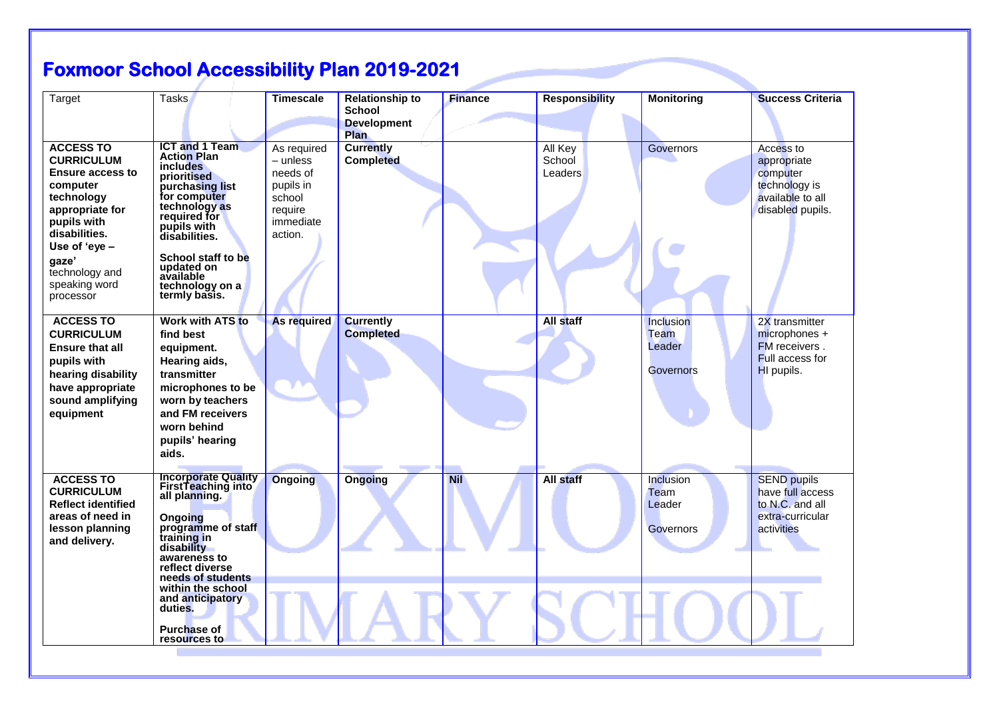## **Foxmoor School Accessibility Plan 2019-2021**

| Target                                                                                                                                                                                                                  | <b>Tasks</b>                                                                                                                                                                                                                                                           | <b>Timescale</b>                                                                              | <b>Relationship to</b><br><b>School</b><br><b>Development</b><br><b>Plan</b> | <b>Finance</b> | <b>Responsibility</b>        | <b>Monitoring</b>                                      | <b>Success Criteria</b>                                                                       |
|-------------------------------------------------------------------------------------------------------------------------------------------------------------------------------------------------------------------------|------------------------------------------------------------------------------------------------------------------------------------------------------------------------------------------------------------------------------------------------------------------------|-----------------------------------------------------------------------------------------------|------------------------------------------------------------------------------|----------------|------------------------------|--------------------------------------------------------|-----------------------------------------------------------------------------------------------|
| <b>ACCESS TO</b><br><b>CURRICULUM</b><br><b>Ensure access to</b><br>computer<br>technology<br>appropriate for<br>pupils with<br>disabilities.<br>Use of 'eye -<br>gaze'<br>technology and<br>speaking word<br>processor | <b>ICT and 1 Team</b><br><b>Action Plan</b><br><i>includes</i><br>prioritised<br>purchasing list<br>for computer<br>technology as<br>required for<br>pupils with<br>disabilities.<br>School staff to be<br>updated on<br>available<br>technology on a<br>termly basis. | As required<br>– unless<br>needs of<br>pupils in<br>school<br>require<br>immediate<br>action. | <b>Currently</b><br><b>Completed</b>                                         |                | All Key<br>School<br>Leaders | Governors                                              | Access to<br>appropriate<br>computer<br>technology is<br>available to all<br>disabled pupils. |
| <b>ACCESS TO</b><br><b>CURRICULUM</b><br><b>Ensure that all</b><br>pupils with<br>hearing disability<br>have appropriate<br>sound amplifying<br>equipment                                                               | Work with ATS to<br>find best<br>equipment.<br>Hearing aids,<br>transmitter<br>microphones to be<br>worn by teachers<br>and FM receivers<br>worn behind<br>pupils' hearing<br>aids.                                                                                    | As required                                                                                   | <b>Currently</b><br><b>Completed</b>                                         |                | All staff                    | Inclusion<br><b>Team</b><br>Leader<br><b>Governors</b> | 2X transmitter<br>$microphones +$<br><b>FM</b> receivers.<br>Full access for<br>HI pupils.    |
| <b>ACCESS TO</b><br><b>CURRICULUM</b><br><b>Reflect identified</b><br>areas of need in<br>lesson planning<br>and delivery.                                                                                              | <b>Incorporate Quality</b><br>FirstTeaching into<br>all planning.<br>Ongoing<br>programme of staff<br>training in<br>disability<br>awareness to<br>reflect diverse<br>needs of students<br>within the school<br>and anticipatory<br>duties.                            | <b>Ongoing</b>                                                                                | Ongoing                                                                      | <b>Nil</b>     | All staff                    | Inclusion<br>Team<br>Leader<br>Governors               | <b>SEND pupils</b><br>have full access<br>to N.C. and all<br>extra-curricular<br>activities   |
|                                                                                                                                                                                                                         | <b>Purchase of</b><br>resources to                                                                                                                                                                                                                                     |                                                                                               |                                                                              |                |                              |                                                        |                                                                                               |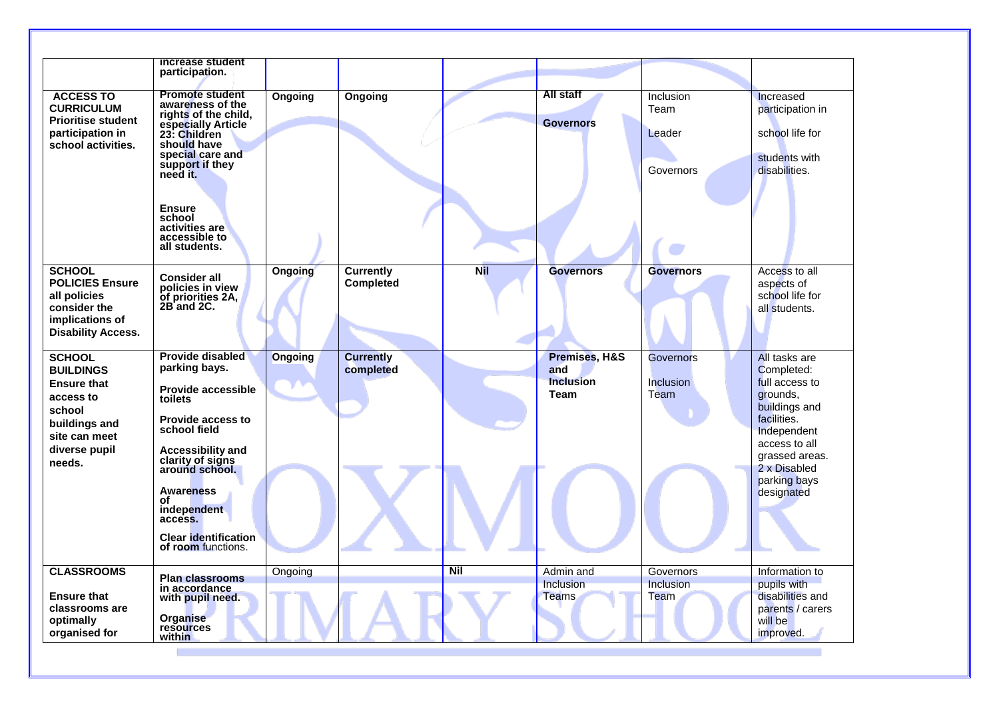|                                               | increase student                                  |                |                  |            |                                 |                          |                                      |
|-----------------------------------------------|---------------------------------------------------|----------------|------------------|------------|---------------------------------|--------------------------|--------------------------------------|
|                                               | participation.                                    |                |                  |            |                                 |                          |                                      |
| <b>ACCESS TO</b>                              | <b>Promote student</b>                            | Ongoing        | Ongoing          |            | All staff                       | Inclusion                | Increased                            |
| <b>CURRICULUM</b>                             | awareness of the<br>rights of the child,          |                |                  |            |                                 | Team                     | participation in                     |
| <b>Prioritise student</b><br>participation in | especially Article                                |                |                  |            | <b>Governors</b>                |                          | school life for                      |
| school activities.                            | 23: Children<br>should have                       |                |                  |            |                                 | Leader                   |                                      |
|                                               | special care and                                  |                |                  |            |                                 |                          | students with                        |
|                                               | support if they<br>need it.                       |                |                  |            |                                 | Governors                | disabilities.                        |
|                                               |                                                   |                |                  |            |                                 |                          |                                      |
|                                               | <b>Ensure</b>                                     |                |                  |            |                                 |                          |                                      |
|                                               | school                                            |                |                  |            |                                 |                          |                                      |
|                                               | activities are<br>accessible to                   |                |                  |            |                                 |                          |                                      |
|                                               | all students.                                     |                |                  |            |                                 |                          |                                      |
| <b>SCHOOL</b>                                 |                                                   | <b>Ongoing</b> | <b>Currently</b> | <b>Nil</b> | <b>Governors</b>                | <b>Governors</b>         | Access to all                        |
| <b>POLICIES Ensure</b>                        | <b>Consider all</b><br>policies in view           |                | <b>Completed</b> |            |                                 |                          | aspects of                           |
| all policies                                  | of priorities 2A,                                 |                |                  |            |                                 |                          | school life for                      |
| consider the                                  | 2B and 2C.                                        |                |                  |            |                                 |                          | all students.                        |
| implications of<br><b>Disability Access.</b>  |                                                   |                |                  |            |                                 |                          |                                      |
|                                               |                                                   |                |                  |            |                                 |                          |                                      |
| <b>SCHOOL</b>                                 | <b>Provide disabled</b>                           | <b>Ongoing</b> | <b>Currently</b> |            | Premises, H&S                   | <b>Governors</b>         | All tasks are                        |
| <b>BUILDINGS</b>                              | parking bays.                                     |                | completed        |            | and                             |                          | Completed:                           |
| <b>Ensure that</b>                            | <b>Provide accessible</b>                         |                |                  |            | <b>Inclusion</b><br><b>Team</b> | <b>Inclusion</b><br>Team | full access to<br>grounds,           |
| access to<br>school                           | toilets                                           |                |                  |            |                                 |                          | buildings and                        |
| buildings and                                 | <b>Provide access to</b>                          |                |                  |            |                                 |                          | facilities.                          |
| site can meet                                 | school field                                      |                |                  |            |                                 |                          | Independent                          |
| diverse pupil                                 | <b>Accessibility and</b>                          |                |                  |            |                                 |                          | access to all                        |
| needs.                                        | clarity of signs<br>around school.                |                |                  |            |                                 |                          | grassed areas.<br>2 x Disabled       |
|                                               |                                                   |                |                  |            |                                 |                          | parking bays                         |
|                                               | <b>Awareness</b><br>οf                            |                |                  |            |                                 |                          | designated                           |
|                                               | independent                                       |                |                  |            |                                 |                          |                                      |
|                                               | access.                                           |                |                  |            |                                 |                          |                                      |
|                                               | <b>Clear identification</b><br>of room functions. |                |                  |            |                                 |                          |                                      |
|                                               |                                                   |                |                  |            |                                 |                          |                                      |
| <b>CLASSROOMS</b>                             | <b>Plan classrooms</b>                            | Ongoing        |                  | <b>Nil</b> | Admin and                       | Governors                | Information to                       |
|                                               | in accordance                                     |                |                  |            | Inclusion                       | <b>Inclusion</b>         | pupils with                          |
| <b>Ensure that</b><br>classrooms are          | with pupil need.                                  |                |                  |            | Teams                           | Team                     | disabilities and<br>parents / carers |
| optimally                                     | <b>Organise</b>                                   |                |                  |            |                                 |                          | will be                              |
| organised for                                 | resources<br>within                               |                |                  |            |                                 |                          | improved.                            |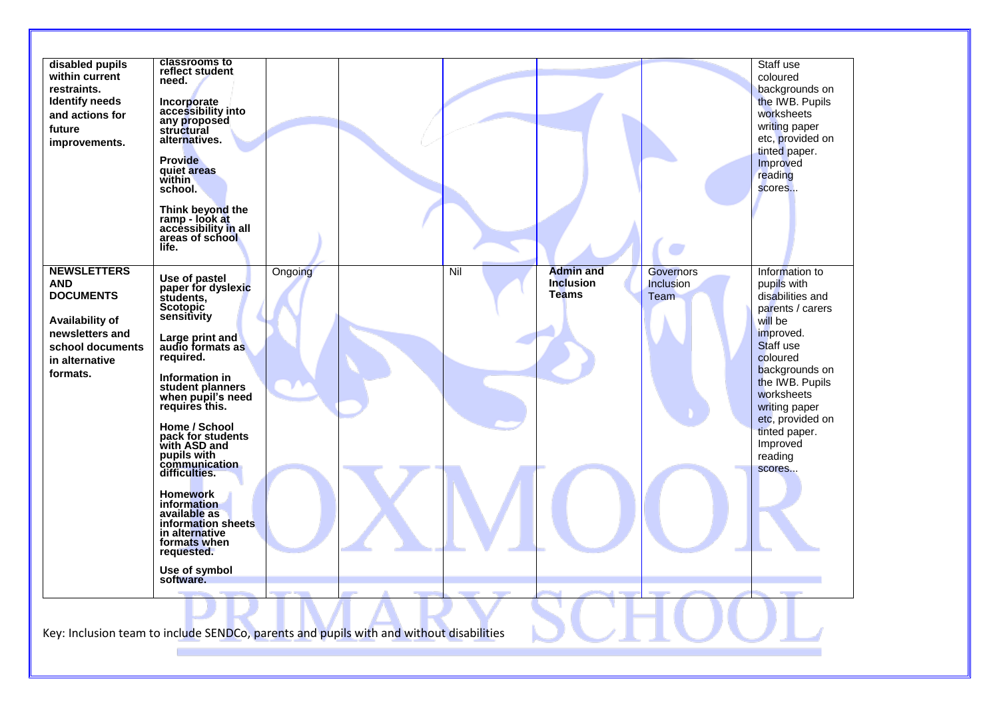|                                     | ramp - look at<br>accessibility in all<br>areas of school<br>life.                                                   |     |                                      |                               | scores                               |
|-------------------------------------|----------------------------------------------------------------------------------------------------------------------|-----|--------------------------------------|-------------------------------|--------------------------------------|
| <b>NEWSLETTERS</b><br><b>AND</b>    | Ongoing<br>Use of pastel<br>paper for dyslexic                                                                       | Nil | <b>Admin and</b><br><b>Inclusion</b> | <b>Governors</b><br>Inclusion | Information to<br>pupils with        |
| <b>DOCUMENTS</b>                    | students,<br>Scotopic                                                                                                |     | <b>Teams</b>                         | Team                          | disabilities and<br>parents / carers |
| <b>Availability of</b>              | sensitivity                                                                                                          |     |                                      |                               | will be                              |
| newsletters and<br>school documents | Large print and<br>audio formats as                                                                                  |     |                                      |                               | improved.<br>Staff use               |
| in alternative                      | required.                                                                                                            |     |                                      |                               | coloured                             |
| formats.                            | Information in                                                                                                       |     |                                      |                               | backgrounds on<br>the IWB. Pupils    |
|                                     | student planners<br>when pupil's need<br>requires this.                                                              |     |                                      |                               | worksheets<br>writing paper          |
|                                     | Home / School                                                                                                        |     |                                      |                               | etc, provided on                     |
|                                     | pack for students                                                                                                    |     |                                      |                               | tinted paper.<br>Improved            |
|                                     | with ASD and<br>pupils with                                                                                          |     |                                      |                               | reading                              |
|                                     | communication<br>difficulties.                                                                                       |     |                                      |                               | scores                               |
|                                     | <b>Homework</b><br>information<br>available as<br>information sheets<br>in alternative<br>formats when<br>requested. |     |                                      |                               |                                      |
|                                     | Use of symbol<br>software.                                                                                           |     |                                      |                               |                                      |
|                                     |                                                                                                                      |     |                                      |                               |                                      |